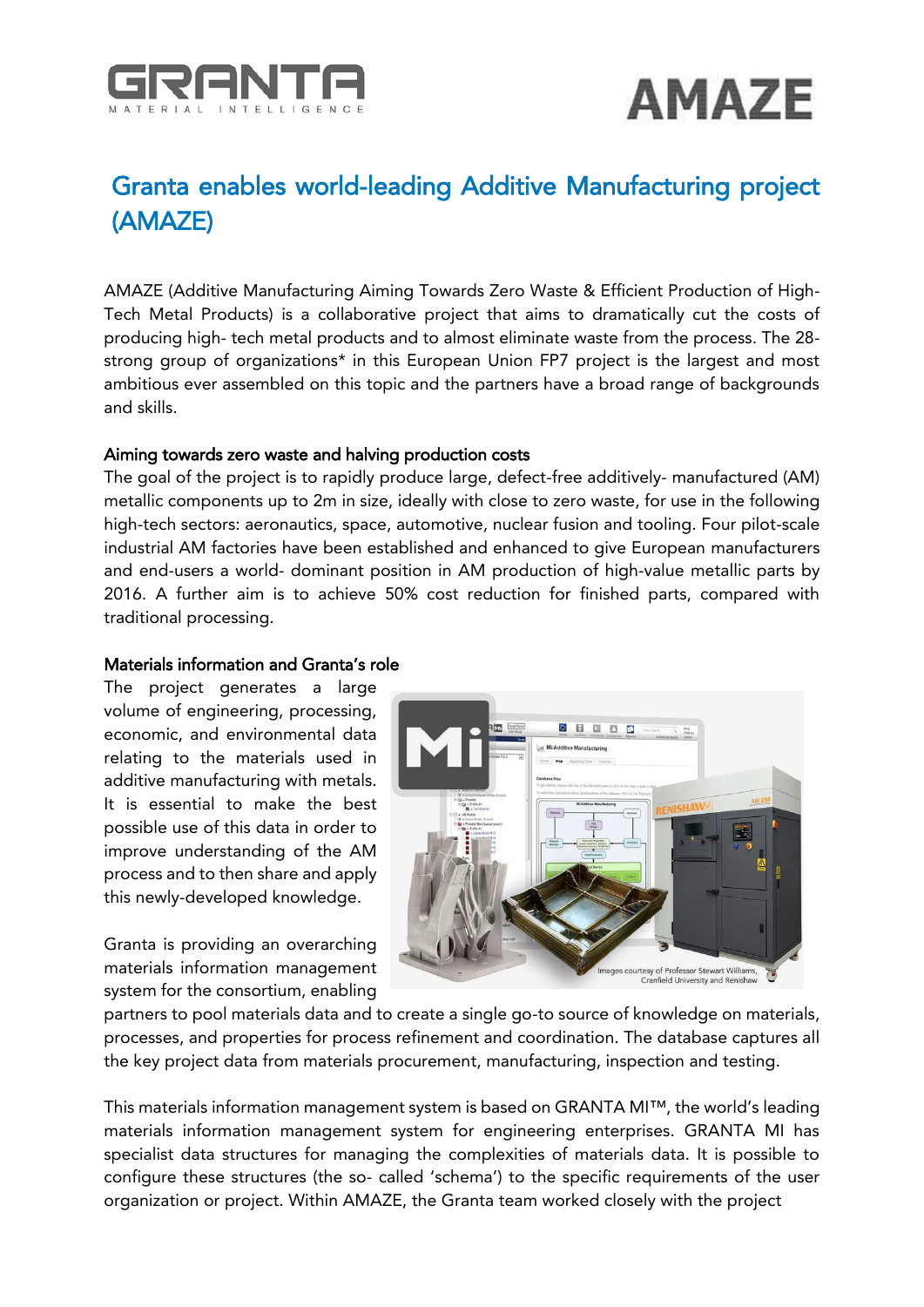



## Granta enables world-leading Additive Manufacturing project (AMAZE)

AMAZE (Additive Manufacturing Aiming Towards Zero Waste & Efficient Production of High-Tech Metal Products) is a collaborative project that aims to dramatically cut the costs of producing high- tech metal products and to almost eliminate waste from the process. The 28 strong group of organizations\* in this European Union FP7 project is the largest and most ambitious ever assembled on this topic and the partners have a broad range of backgrounds and skills.

## Aiming towards zero waste and halving production costs

The goal of the project is to rapidly produce large, defect-free additively- manufactured (AM) metallic components up to 2m in size, ideally with close to zero waste, for use in the following high-tech sectors: aeronautics, space, automotive, nuclear fusion and tooling. Four pilot-scale industrial AM factories have been established and enhanced to give European manufacturers and end-users a world- dominant position in AM production of high-value metallic parts by 2016. A further aim is to achieve 50% cost reduction for finished parts, compared with traditional processing.

## Materials information and Granta's role

The project generates a large volume of engineering, processing, economic, and environmental data relating to the materials used in additive manufacturing with metals. It is essential to make the best possible use of this data in order to improve understanding of the AM process and to then share and apply this newly-developed knowledge.

Granta is providing an overarching materials information management system for the consortium, enabling



partners to pool materials data and to create a single go-to source of knowledge on materials, processes, and properties for process refinement and coordination. The database captures all the key project data from materials procurement, manufacturing, inspection and testing.

This materials information management system is based on GRANTA MI™, the world's leading materials information management system for engineering enterprises. GRANTA MI has specialist data structures for managing the complexities of materials data. It is possible to configure these structures (the so- called 'schema') to the specific requirements of the user organization or project. Within AMAZE, the Granta team worked closely with the project